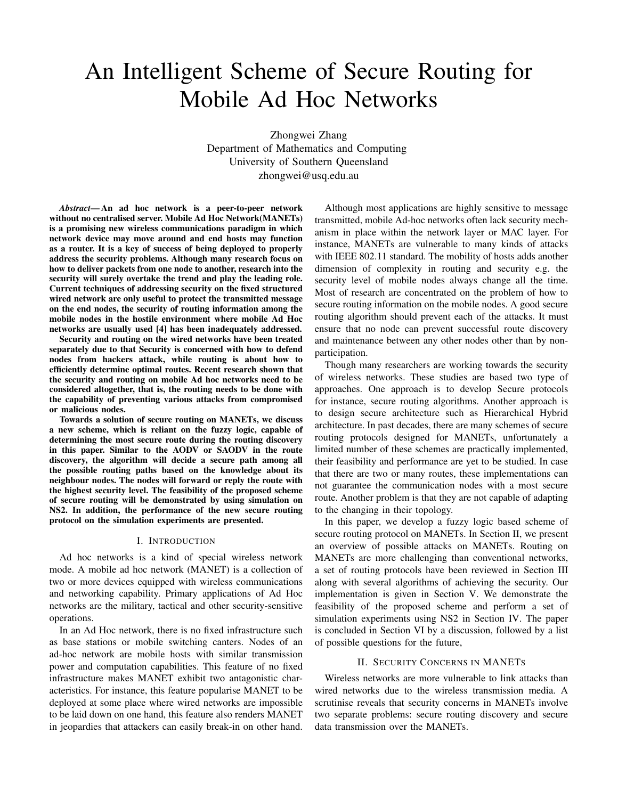# An Intelligent Scheme of Secure Routing for Mobile Ad Hoc Networks

Zhongwei Zhang Department of Mathematics and Computing University of Southern Queensland zhongwei@usq.edu.au

*Abstract*— An ad hoc network is a peer-to-peer network without no centralised server. Mobile Ad Hoc Network(MANETs) is a promising new wireless communications paradigm in which network device may move around and end hosts may function as a router. It is a key of success of being deployed to properly address the security problems. Although many research focus on how to deliver packets from one node to another, research into the security will surely overtake the trend and play the leading role. Current techniques of addressing security on the fixed structured wired network are only useful to protect the transmitted message on the end nodes, the security of routing information among the mobile nodes in the hostile environment where mobile Ad Hoc networks are usually used [4] has been inadequately addressed.

Security and routing on the wired networks have been treated separately due to that Security is concerned with how to defend nodes from hackers attack, while routing is about how to efficiently determine optimal routes. Recent research shown that the security and routing on mobile Ad hoc networks need to be considered altogether, that is, the routing needs to be done with the capability of preventing various attacks from compromised or malicious nodes.

Towards a solution of secure routing on MANETs, we discuss a new scheme, which is reliant on the fuzzy logic, capable of determining the most secure route during the routing discovery in this paper. Similar to the AODV or SAODV in the route discovery, the algorithm will decide a secure path among all the possible routing paths based on the knowledge about its neighbour nodes. The nodes will forward or reply the route with the highest security level. The feasibility of the proposed scheme of secure routing will be demonstrated by using simulation on NS2. In addition, the performance of the new secure routing protocol on the simulation experiments are presented.

## I. INTRODUCTION

Ad hoc networks is a kind of special wireless network mode. A mobile ad hoc network (MANET) is a collection of two or more devices equipped with wireless communications and networking capability. Primary applications of Ad Hoc networks are the military, tactical and other security-sensitive operations.

In an Ad Hoc network, there is no fixed infrastructure such as base stations or mobile switching canters. Nodes of an ad-hoc network are mobile hosts with similar transmission power and computation capabilities. This feature of no fixed infrastructure makes MANET exhibit two antagonistic characteristics. For instance, this feature popularise MANET to be deployed at some place where wired networks are impossible to be laid down on one hand, this feature also renders MANET in jeopardies that attackers can easily break-in on other hand.

Although most applications are highly sensitive to message transmitted, mobile Ad-hoc networks often lack security mechanism in place within the network layer or MAC layer. For instance, MANETs are vulnerable to many kinds of attacks with IEEE 802.11 standard. The mobility of hosts adds another dimension of complexity in routing and security e.g. the security level of mobile nodes always change all the time. Most of research are concentrated on the problem of how to secure routing information on the mobile nodes. A good secure routing algorithm should prevent each of the attacks. It must ensure that no node can prevent successful route discovery and maintenance between any other nodes other than by nonparticipation.

Though many researchers are working towards the security of wireless networks. These studies are based two type of approaches. One approach is to develop Secure protocols for instance, secure routing algorithms. Another approach is to design secure architecture such as Hierarchical Hybrid architecture. In past decades, there are many schemes of secure routing protocols designed for MANETs, unfortunately a limited number of these schemes are practically implemented, their feasibility and performance are yet to be studied. In case that there are two or many routes, these implementations can not guarantee the communication nodes with a most secure route. Another problem is that they are not capable of adapting to the changing in their topology.

In this paper, we develop a fuzzy logic based scheme of secure routing protocol on MANETs. In Section II, we present an overview of possible attacks on MANETs. Routing on MANETs are more challenging than conventional networks, a set of routing protocols have been reviewed in Section III along with several algorithms of achieving the security. Our implementation is given in Section V. We demonstrate the feasibility of the proposed scheme and perform a set of simulation experiments using NS2 in Section IV. The paper is concluded in Section VI by a discussion, followed by a list of possible questions for the future,

#### II. SECURITY CONCERNS IN MANETS

Wireless networks are more vulnerable to link attacks than wired networks due to the wireless transmission media. A scrutinise reveals that security concerns in MANETs involve two separate problems: secure routing discovery and secure data transmission over the MANETs.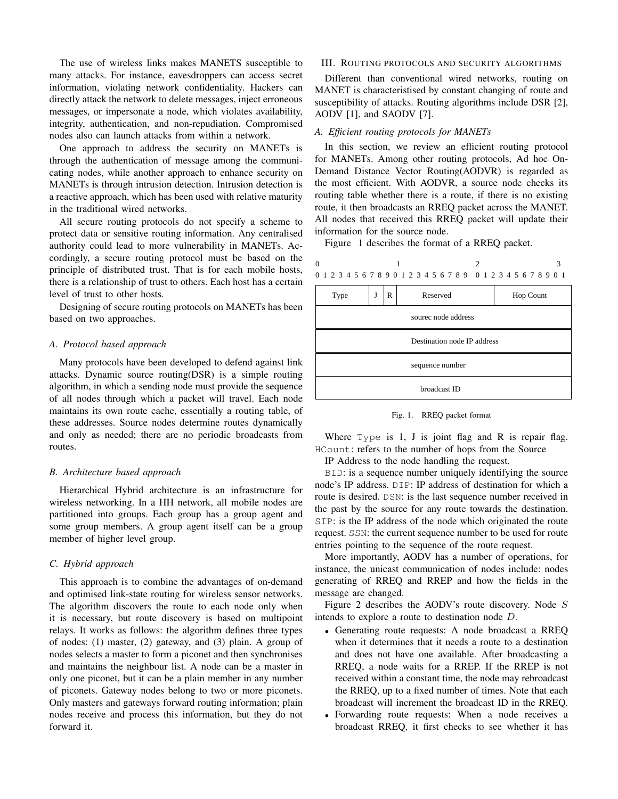The use of wireless links makes MANETS susceptible to many attacks. For instance, eavesdroppers can access secret information, violating network confidentiality. Hackers can directly attack the network to delete messages, inject erroneous messages, or impersonate a node, which violates availability, integrity, authentication, and non-repudiation. Compromised nodes also can launch attacks from within a network.

One approach to address the security on MANETs is through the authentication of message among the communicating nodes, while another approach to enhance security on MANETs is through intrusion detection. Intrusion detection is a reactive approach, which has been used with relative maturity in the traditional wired networks.

All secure routing protocols do not specify a scheme to protect data or sensitive routing information. Any centralised authority could lead to more vulnerability in MANETs. Accordingly, a secure routing protocol must be based on the principle of distributed trust. That is for each mobile hosts, there is a relationship of trust to others. Each host has a certain level of trust to other hosts.

Designing of secure routing protocols on MANETs has been based on two approaches.

# *A. Protocol based approach*

Many protocols have been developed to defend against link attacks. Dynamic source routing(DSR) is a simple routing algorithm, in which a sending node must provide the sequence of all nodes through which a packet will travel. Each node maintains its own route cache, essentially a routing table, of these addresses. Source nodes determine routes dynamically and only as needed; there are no periodic broadcasts from routes.

#### *B. Architecture based approach*

Hierarchical Hybrid architecture is an infrastructure for wireless networking. In a HH network, all mobile nodes are partitioned into groups. Each group has a group agent and some group members. A group agent itself can be a group member of higher level group.

# *C. Hybrid approach*

This approach is to combine the advantages of on-demand and optimised link-state routing for wireless sensor networks. The algorithm discovers the route to each node only when it is necessary, but route discovery is based on multipoint relays. It works as follows: the algorithm defines three types of nodes: (1) master, (2) gateway, and (3) plain. A group of nodes selects a master to form a piconet and then synchronises and maintains the neighbour list. A node can be a master in only one piconet, but it can be a plain member in any number of piconets. Gateway nodes belong to two or more piconets. Only masters and gateways forward routing information; plain nodes receive and process this information, but they do not forward it.

### III. ROUTING PROTOCOLS AND SECURITY ALGORITHMS

Different than conventional wired networks, routing on MANET is characteristised by constant changing of route and susceptibility of attacks. Routing algorithms include DSR [2], AODV [1], and SAODV [7].

## *A. Efficient routing protocols for MANETs*

In this section, we review an efficient routing protocol for MANETs. Among other routing protocols, Ad hoc On-Demand Distance Vector Routing(AODVR) is regarded as the most efficient. With AODVR, a source node checks its routing table whether there is a route, if there is no existing route, it then broadcasts an RREQ packet across the MANET. All nodes that received this RREQ packet will update their information for the source node.

Figure 1 describes the format of a RREQ packet.

 $\Omega$ 0 1 2 3 4 5 6 7 8 9 0 1 2 3 4 5 6 7 8 9 0 1 2 3 4 5 6 7 8 9 0 1  $1$  2 3



Fig. 1. RREQ packet format

Where Type is 1, J is joint flag and R is repair flag. HCount: refers to the number of hops from the Source

IP Address to the node handling the request.

BID: is a sequence number uniquely identifying the source node's IP address. DIP: IP address of destination for which a route is desired. DSN: is the last sequence number received in the past by the source for any route towards the destination. SIP: is the IP address of the node which originated the route request. SSN: the current sequence number to be used for route entries pointing to the sequence of the route request.

More importantly, AODV has a number of operations, for instance, the unicast communication of nodes include: nodes generating of RREQ and RREP and how the fields in the message are changed.

Figure 2 describes the AODV's route discovery. Node S intends to explore a route to destination node D.

- Generating route requests: A node broadcast a RREQ when it determines that it needs a route to a destination and does not have one available. After broadcasting a RREQ, a node waits for a RREP. If the RREP is not received within a constant time, the node may rebroadcast the RREQ, up to a fixed number of times. Note that each broadcast will increment the broadcast ID in the RREQ.
- Forwarding route requests: When a node receives a broadcast RREQ, it first checks to see whether it has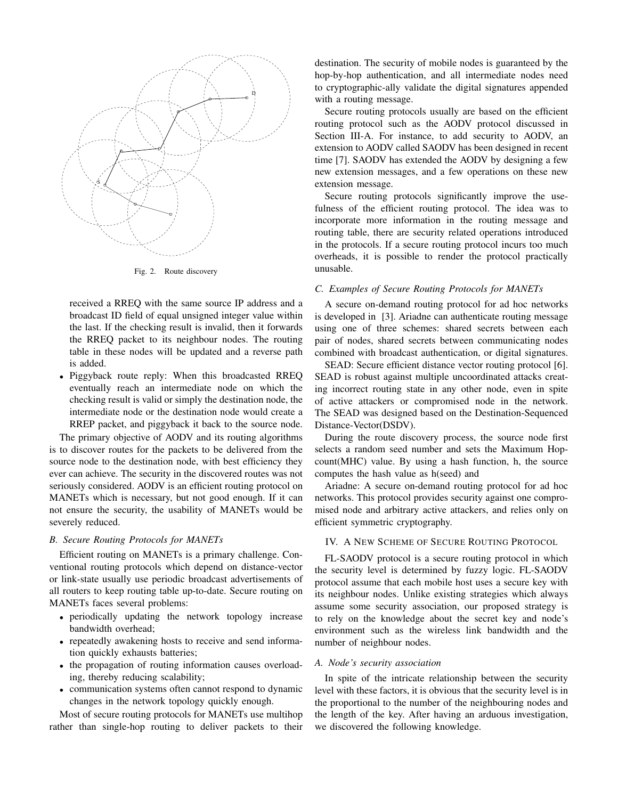

Fig. 2. Route discovery

received a RREQ with the same source IP address and a broadcast ID field of equal unsigned integer value within the last. If the checking result is invalid, then it forwards the RREQ packet to its neighbour nodes. The routing table in these nodes will be updated and a reverse path is added.

• Piggyback route reply: When this broadcasted RREQ eventually reach an intermediate node on which the checking result is valid or simply the destination node, the intermediate node or the destination node would create a RREP packet, and piggyback it back to the source node.

The primary objective of AODV and its routing algorithms is to discover routes for the packets to be delivered from the source node to the destination node, with best efficiency they ever can achieve. The security in the discovered routes was not seriously considered. AODV is an efficient routing protocol on MANETs which is necessary, but not good enough. If it can not ensure the security, the usability of MANETs would be severely reduced.

# *B. Secure Routing Protocols for MANETs*

Efficient routing on MANETs is a primary challenge. Conventional routing protocols which depend on distance-vector or link-state usually use periodic broadcast advertisements of all routers to keep routing table up-to-date. Secure routing on MANETs faces several problems:

- periodically updating the network topology increase bandwidth overhead;
- repeatedly awakening hosts to receive and send information quickly exhausts batteries;
- the propagation of routing information causes overloading, thereby reducing scalability;
- communication systems often cannot respond to dynamic changes in the network topology quickly enough.

Most of secure routing protocols for MANETs use multihop rather than single-hop routing to deliver packets to their destination. The security of mobile nodes is guaranteed by the hop-by-hop authentication, and all intermediate nodes need to cryptographic-ally validate the digital signatures appended with a routing message.

Secure routing protocols usually are based on the efficient routing protocol such as the AODV protocol discussed in Section III-A. For instance, to add security to AODV, an extension to AODV called SAODV has been designed in recent time [7]. SAODV has extended the AODV by designing a few new extension messages, and a few operations on these new extension message.

Secure routing protocols significantly improve the usefulness of the efficient routing protocol. The idea was to incorporate more information in the routing message and routing table, there are security related operations introduced in the protocols. If a secure routing protocol incurs too much overheads, it is possible to render the protocol practically unusable.

# *C. Examples of Secure Routing Protocols for MANETs*

A secure on-demand routing protocol for ad hoc networks is developed in [3]. Ariadne can authenticate routing message using one of three schemes: shared secrets between each pair of nodes, shared secrets between communicating nodes combined with broadcast authentication, or digital signatures.

SEAD: Secure efficient distance vector routing protocol [6]. SEAD is robust against multiple uncoordinated attacks creating incorrect routing state in any other node, even in spite of active attackers or compromised node in the network. The SEAD was designed based on the Destination-Sequenced Distance-Vector(DSDV).

During the route discovery process, the source node first selects a random seed number and sets the Maximum Hopcount(MHC) value. By using a hash function, h, the source computes the hash value as h(seed) and

Ariadne: A secure on-demand routing protocol for ad hoc networks. This protocol provides security against one compromised node and arbitrary active attackers, and relies only on efficient symmetric cryptography.

## IV. A NEW SCHEME OF SECURE ROUTING PROTOCOL

FL-SAODV protocol is a secure routing protocol in which the security level is determined by fuzzy logic. FL-SAODV protocol assume that each mobile host uses a secure key with its neighbour nodes. Unlike existing strategies which always assume some security association, our proposed strategy is to rely on the knowledge about the secret key and node's environment such as the wireless link bandwidth and the number of neighbour nodes.

#### *A. Node's security association*

In spite of the intricate relationship between the security level with these factors, it is obvious that the security level is in the proportional to the number of the neighbouring nodes and the length of the key. After having an arduous investigation, we discovered the following knowledge.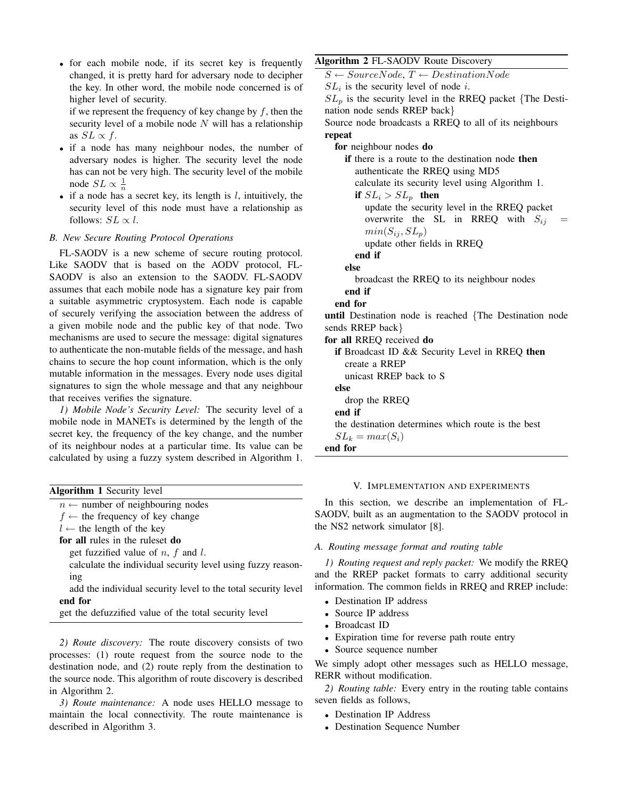• for each mobile node, if its secret key is frequently changed, it is pretty hard for adversary node to decipher the key. In other word, the mobile node concerned is of higher level of security.

if we represent the frequency of key change by  $f$ , then the security level of a mobile node  $N$  will has a relationship as  $SL \propto f$ .

- if a node has many neighbour nodes, the number of adversary nodes is higher. The security level the node has can not be very high. The security level of the mobile node  $SL \propto \frac{1}{n}$
- if a node has a secret key, its length is  $l$ , intuitively, the security level of this node must have a relationship as follows:  $SL \propto l$ .

### *B. New Secure Routing Protocol Operations*

FL-SAODV is a new scheme of secure routing protocol. Like SAODV that is based on the AODV protocol, FL-SAODV is also an extension to the SAODV. FL-SAODV assumes that each mobile node has a signature key pair from a suitable asymmetric cryptosystem. Each node is capable of securely verifying the association between the address of a given mobile node and the public key of that node. Two mechanisms are used to secure the message: digital signatures to authenticate the non-mutable fields of the message, and hash chains to secure the hop count information, which is the only mutable information in the messages. Every node uses digital signatures to sign the whole message and that any neighbour that receives verifies the signature.

*1) Mobile Node's Security Level:* The security level of a mobile node in MANETs is determined by the length of the secret key, the frequency of the key change, and the number of its neighbour nodes at a particular time. Its value can be calculated by using a fuzzy system described in Algorithm 1.

| <b>Algorithm 1</b> Security level                             |
|---------------------------------------------------------------|
| $n \leftarrow$ number of neighbouring nodes                   |
| $f \leftarrow$ the frequency of key change                    |
| $l \leftarrow$ the length of the key                          |
| for all rules in the ruleset do                               |
| get fuzzified value of $n, f$ and $l$ .                       |
| calculate the individual security level using fuzzy reason-   |
| ing                                                           |
| add the individual security level to the total security level |
| end for                                                       |
| get the defuzzified value of the total security level         |

*2) Route discovery:* The route discovery consists of two processes: (1) route request from the source node to the destination node, and (2) route reply from the destination to the source node. This algorithm of route discovery is described in Algorithm 2.

*3) Route maintenance:* A node uses HELLO message to maintain the local connectivity. The route maintenance is described in Algorithm 3.

# Algorithm 2 FL-SAODV Route Discovery

 $S \leftarrow SourceNode, T \leftarrow DestinationNode$  $SL<sub>i</sub>$  is the security level of node *i*.  $SL_p$  is the security level in the RREQ packet {The Destination node sends RREP back} Source node broadcasts a RREQ to all of its neighbours repeat for neighbour nodes do if there is a route to the destination node then authenticate the RREQ using MD5 calculate its security level using Algorithm 1. if  $SL_i > SL_p$  then update the security level in the RREQ packet overwrite the SL in RREQ with  $S_{ij}$  =  $min(S_{ij}, SL_p)$ update other fields in RREQ end if else broadcast the RREQ to its neighbour nodes end if end for until Destination node is reached {The Destination node sends RREP back} for all RREQ received do if Broadcast ID && Security Level in RREQ then create a RREP unicast RREP back to S else drop the RREQ end if the destination determines which route is the best  $SL_k = max(S_i)$ end for

#### V. IMPLEMENTATION AND EXPERIMENTS

In this section, we describe an implementation of FL-SAODV, built as an augmentation to the SAODV protocol in the NS2 network simulator [8].

## *A. Routing message format and routing table*

*1) Routing request and reply packet:* We modify the RREQ and the RREP packet formats to carry additional security information. The common fields in RREQ and RREP include:

- Destination IP address
- Source IP address
- Broadcast ID
- Expiration time for reverse path route entry
- Source sequence number

We simply adopt other messages such as HELLO message, RERR without modification.

*2) Routing table:* Every entry in the routing table contains seven fields as follows,

- Destination IP Address
- Destination Sequence Number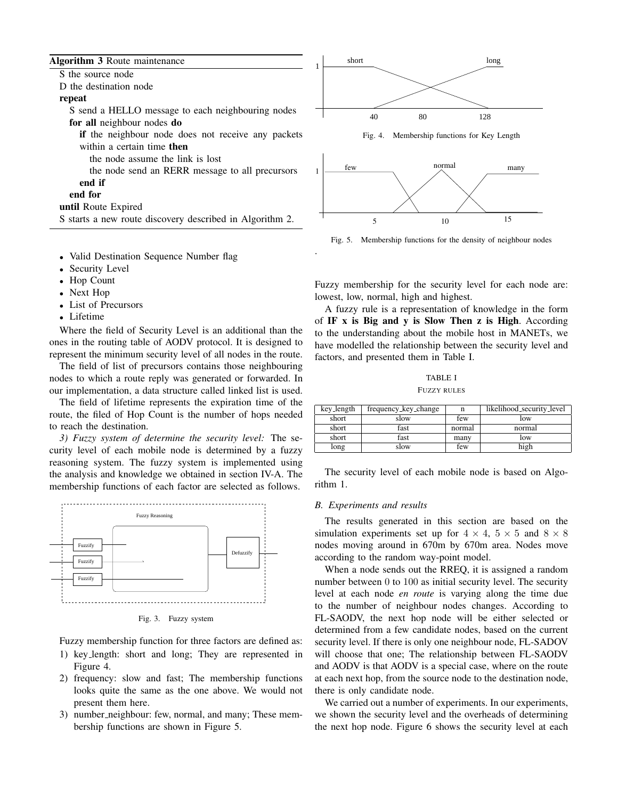|  |  |  | Algorithm 3 Route maintenance |
|--|--|--|-------------------------------|
|--|--|--|-------------------------------|

| <b>Algorithm 3</b> Route maintenance                      |
|-----------------------------------------------------------|
| S the source node                                         |
| D the destination node                                    |
| repeat                                                    |
| S send a HELLO message to each neighbouring nodes         |
| for all neighbour nodes do                                |
| <b>if</b> the neighbour node does not receive any packets |
| within a certain time <b>then</b>                         |
| the node assume the link is lost                          |
| the node send an RERR message to all precursors           |
| end if                                                    |
| end for                                                   |
| until Route Expired                                       |
| S starts a new route discovery described in Algorithm 2.  |



- Security Level
- Hop Count
- Next Hop
- List of Precursors
- Lifetime

Where the field of Security Level is an additional than the ones in the routing table of AODV protocol. It is designed to represent the minimum security level of all nodes in the route.

The field of list of precursors contains those neighbouring nodes to which a route reply was generated or forwarded. In our implementation, a data structure called linked list is used.

The field of lifetime represents the expiration time of the route, the filed of Hop Count is the number of hops needed to reach the destination.

*3) Fuzzy system of determine the security level:* The security level of each mobile node is determined by a fuzzy reasoning system. The fuzzy system is implemented using the analysis and knowledge we obtained in section IV-A. The membership functions of each factor are selected as follows.



Fig. 3. Fuzzy system

Fuzzy membership function for three factors are defined as:

- 1) key length: short and long; They are represented in Figure 4.
- 2) frequency: slow and fast; The membership functions looks quite the same as the one above. We would not present them here.
- 3) number neighbour: few, normal, and many; These membership functions are shown in Figure 5.



Fig. 5. Membership functions for the density of neighbour nodes

Fuzzy membership for the security level for each node are: lowest, low, normal, high and highest.

A fuzzy rule is a representation of knowledge in the form of IF  $x$  is Big and  $y$  is Slow Then  $z$  is High. According to the understanding about the mobile host in MANETs, we have modelled the relationship between the security level and factors, and presented them in Table I.

TABLE I FUZZY RULES

| key_length | frequency_key_change | n      | likelihood_security_level |
|------------|----------------------|--------|---------------------------|
| short      | slow                 | few    | low                       |
| short      | fast                 | normal | normal                    |
| short      | fast                 | many   | low                       |
| long       | slow                 | few    | high                      |

The security level of each mobile node is based on Algorithm 1.

### *B. Experiments and results*

.

The results generated in this section are based on the simulation experiments set up for  $4 \times 4$ ,  $5 \times 5$  and  $8 \times 8$ nodes moving around in 670m by 670m area. Nodes move according to the random way-point model.

When a node sends out the RREQ, it is assigned a random number between 0 to 100 as initial security level. The security level at each node *en route* is varying along the time due to the number of neighbour nodes changes. According to FL-SAODV, the next hop node will be either selected or determined from a few candidate nodes, based on the current security level. If there is only one neighbour node, FL-SADOV will choose that one; The relationship between FL-SAODV and AODV is that AODV is a special case, where on the route at each next hop, from the source node to the destination node, there is only candidate node.

We carried out a number of experiments. In our experiments, we shown the security level and the overheads of determining the next hop node. Figure 6 shows the security level at each